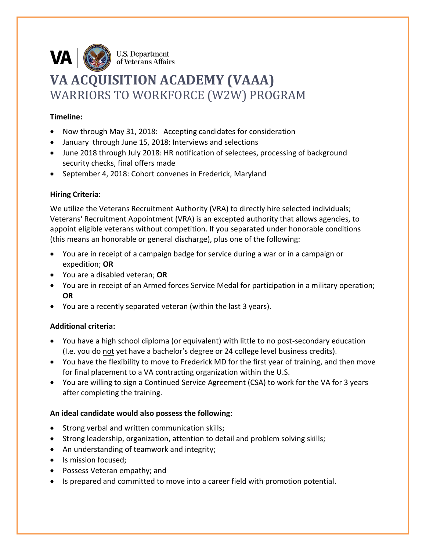

# WARRIORS TO WORKFORCE (W2W) PROGRAM

#### **Timeline:**

- Now through May 31, 2018: Accepting candidates for consideration
- January through June 15, 2018: Interviews and selections
- June 2018 through July 2018: HR notification of selectees, processing of background security checks, final offers made
- September 4, 2018: Cohort convenes in Frederick, Maryland

### **Hiring Criteria:**

We utilize the Veterans Recruitment Authority (VRA) to directly hire selected individuals; Veterans' Recruitment Appointment (VRA) is an excepted authority that allows agencies, to appoint eligible veterans without competition. If you separated under honorable conditions (this means an honorable or general discharge), plus one of the following:

- You are in receipt of a campaign badge for service during a war or in a campaign or expedition; **OR**
- You are a disabled veteran; **OR**
- You are in receipt of an Armed forces Service Medal for participation in a military operation; **OR**
- You are a recently separated veteran (within the last 3 years).

## **Additional criteria:**

- You have a high school diploma (or equivalent) with little to no post-secondary education (I.e. you do not yet have a bachelor's degree or 24 college level business credits).
- You have the flexibility to move to Frederick MD for the first year of training, and then move for final placement to a VA contracting organization within the U.S.
- You are willing to sign a Continued Service Agreement (CSA) to work for the VA for 3 years after completing the training.

## **An ideal candidate would also possess the following**:

- Strong verbal and written communication skills;
- Strong leadership, organization, attention to detail and problem solving skills;
- An understanding of teamwork and integrity;
- Is mission focused;
- Possess Veteran empathy; and
- Is prepared and committed to move into a career field with promotion potential.